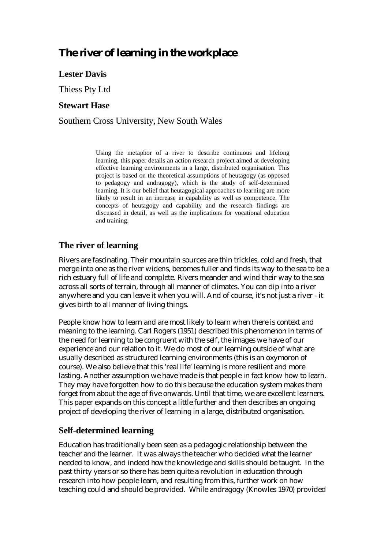# **The river of learning in the workplace**

# **Lester Davis**

Thiess Pty Ltd

### **Stewart Hase**

Southern Cross University, New South Wales

Using the metaphor of a river to describe continuous and lifelong learning, this paper details an action research project aimed at developing effective learning environments in a large, distributed organisation. This project is based on the theoretical assumptions of heutagogy (as opposed to pedagogy and andragogy), which is the study of self-determined learning. It is our belief that heutagogical approaches to learning are more likely to result in an increase in capability as well as competence. The concepts of heutagogy and capability and the research findings are discussed in detail, as well as the implications for vocational education and training.

# **The river of learning**

Rivers are fascinating. Their mountain sources are thin trickles, cold and fresh, that merge into one as the river widens, becomes fuller and finds its way to the sea to be a rich estuary full of life and complete. Rivers meander and wind their way to the sea across all sorts of terrain, through all manner of climates. You can dip into a river anywhere and you can leave it when you will. And of course, it's not just a river - it gives birth to all manner of living things.

People know how to learn and are most likely to learn when there is context and meaning to the learning. Carl Rogers (1951) described this phenomenon in terms of the need for learning to be congruent with the self, the images we have of our experience and our relation to it. We do most of our learning outside of what are usually described as structured learning environments (this is an oxymoron of course). We also believe that this 'real life' learning is more resilient and more lasting. Another assumption we have made is that people in fact know how to learn. They may have forgotten how to do this because the education system makes them forget from about the age of five onwards. Until that time, we are excellent learners. This paper expands on this concept a little further and then describes an ongoing project of developing the river of learning in a large, distributed organisation.

# **Self-determined learning**

Education has traditionally been seen as a pedagogic relationship between the teacher and the learner. It was always the teacher who decided *what* the learner needed to know, and indeed *how* the knowledge and skills should be taught. In the past thirty years or so there has been quite a revolution in education through research into how people learn, and resulting from this, further work on how teaching could and should be provided. While andragogy (Knowles 1970) provided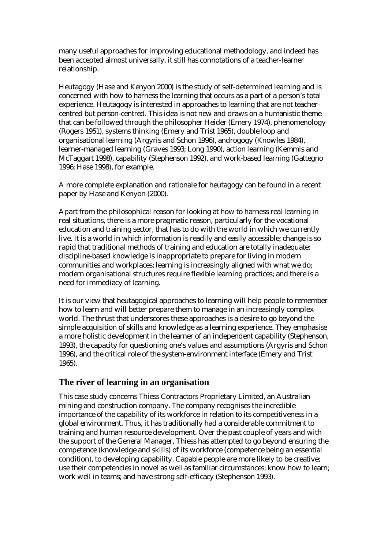many useful approaches for improving educational methodology, and indeed has been accepted almost universally, it still has connotations of a teacher-learner relationship.

Heutagogy (Hase and Kenyon 2000) is the study of self-determined learning and is concerned with how to harness the learning that occurs as a part of a person's total experience. Heutagogy is interested in approaches to learning that are not teachercentred but person-centred. This idea is not new and draws on a humanistic theme that can be followed through the philosopher Heider (Emery 1974), phenomenology (Rogers 1951), systems thinking (Emery and Trist 1965), double loop and organisational learning (Argyris and Schon 1996), androgogy (Knowles 1984), learner-managed learning (Graves 1993; Long 1990), action learning (Kemmis and McTaggart 1998), capability (Stephenson 1992), and work-based learning (Gattegno 1996; Hase 1998), for example.

A more complete explanation and rationale for heutagogy can be found in a recent paper by Hase and Kenyon (2000).

Apart from the philosophical reason for looking at how to harness real learning in real situations, there is a more pragmatic reason, particularly for the vocational education and training sector, that has to do with the world in which we currently live. It is a world in which information is readily and easily accessible; change is so rapid that traditional methods of training and education are totally inadequate; discipline-based knowledge is inappropriate to prepare for living in modern communities and workplaces; learning is increasingly aligned with what we do; modern organisational structures require flexible learning practices; and there is a need for immediacy of learning.

It is our view that heutagogical approaches to learning will help people to remember how to learn and will better prepare them to manage in an increasingly complex world. The thrust that underscores these approaches is a desire to go beyond the simple acquisition of skills and knowledge as a learning experience. They emphasise a more holistic development in the learner of an independent capability (Stephenson, 1993), the capacity for questioning one's values and assumptions (Argyris and Schon 1996), and the critical role of the system-environment interface (Emery and Trist 1965).

### **The river of learning in an organisation**

This case study concerns Thiess Contractors Proprietary Limited, an Australian mining and construction company. The company recognises the incredible importance of the capability of its workforce in relation to its competitiveness in a global environment. Thus, it has traditionally had a considerable commitment to training and human resource development. Over the past couple of years and with the support of the General Manager, Thiess has attempted to go beyond ensuring the competence (knowledge and skills) of its workforce (competence being an essential condition), to developing capability. Capable people are more likely to be creative; use their competencies in novel as well as familiar circumstances; know how to learn; work well in teams; and have strong self-efficacy (Stephenson 1993).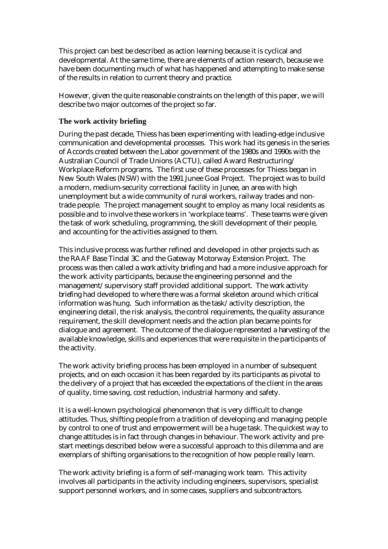This project can best be described as action learning because it is cyclical and developmental. At the same time, there are elements of action research, because we have been documenting much of what has happened and attempting to make sense of the results in relation to current theory and practice.

However, given the quite reasonable constraints on the length of this paper, we will describe two major outcomes of the project so far.

### **The work activity briefing**

During the past decade, Thiess has been experimenting with leading-edge inclusive communication and developmental processes. This work had its genesis in the series of Accords created between the Labor government of the 1980s and 1990s with the Australian Council of Trade Unions (ACTU), called Award Restructuring/ Workplace Reform programs. The first use of these processes for Thiess began in New South Wales (NSW) with the 1991 Junee Goal Project. The project was to build a modern, medium-security correctional facility in Junee, an area with high unemployment but a wide community of rural workers, railway trades and nontrade people. The project management sought to employ as many local residents as possible and to involve these workers in 'workplace teams'. These teams were given the task of work scheduling, programming, the skill development of their people, and accounting for the activities assigned to them.

This inclusive process was further refined and developed in other projects such as the RAAF Base Tindal 3C and the Gateway Motorway Extension Project. The process was then called a *work activity briefing* and had a more inclusive approach for the work activity participants, because the engineering personnel and the management/supervisory staff provided additional support. The *work activity briefing* had developed to where there was a formal skeleton around which critical information was hung. Such information as the task/activity description, the engineering detail, the risk analysis, the control requirements, the quality assurance requirement, the skill development needs and the action plan became points for dialogue and agreement. The outcome of the dialogue represented a *harvesting* of the available knowledge, skills and experiences that were requisite in the participants of the activity.

The work activity briefing process has been employed in a number of subsequent projects, and on each occasion it has been regarded by its participants as pivotal to the delivery of a project that has exceeded the expectations of the client in the areas of quality, time saving, cost reduction, industrial harmony and safety.

It is a well-known psychological phenomenon that is very difficult to change attitudes. Thus, shifting people from a tradition of developing and managing people by control to one of trust and empowerment will be a huge task. The quickest way to change attitudes is in fact through changes in behaviour. The work activity and prestart meetings described below were a successful approach to this dilemma and are exemplars of shifting organisations to the recognition of how people really learn.

The work activity briefing is a form of self-managing work team. This activity involves all participants in the activity including engineers, supervisors, specialist support personnel workers, and in some cases, suppliers and subcontractors.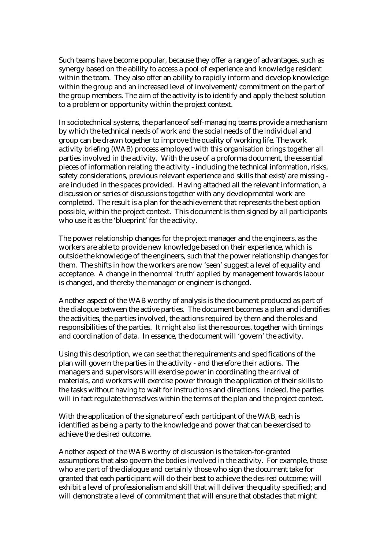Such teams have become popular, because they offer a range of advantages, such as synergy based on the ability to access a pool of experience and knowledge resident within the team. They also offer an ability to rapidly inform and develop knowledge within the group and an increased level of involvement/commitment on the part of the group members. The aim of the activity is to identify and apply the best solution to a problem or opportunity within the project context.

In sociotechnical systems, the parlance of self-managing teams provide a mechanism by which the technical needs of work and the social needs of the individual and group can be drawn together to improve the quality of working life. The work activity briefing (WAB) process employed with this organisation brings together all parties involved in the activity. With the use of a proforma document, the essential pieces of information relating the activity - including the technical information, risks, safety considerations, previous relevant experience and skills that exist/are missing are included in the spaces provided. Having attached all the relevant information, a discussion or series of discussions together with any developmental work are completed. The result is a plan for the achievement that represents the best option possible, within the project context. This document is then signed by all participants who use it as the 'blueprint' for the activity.

The power relationship changes for the project manager and the engineers, as the workers are able to provide new knowledge based on their experience, which is outside the knowledge of the engineers, such that the power relationship changes for them. The shifts in how the workers are now 'seen' suggest a level of equality and acceptance. A change in the normal 'truth' applied by management towards labour is changed, and thereby the manager or engineer is changed.

Another aspect of the WAB worthy of analysis is the document produced as part of the dialogue between the active parties. The document becomes a plan and identifies the activities, the parties involved, the actions required by them and the roles and responsibilities of the parties. It might also list the resources, together with timings and coordination of data. In essence, the document will 'govern' the activity.

Using this description, we can see that the requirements and specifications of the plan will govern the parties in the activity - and therefore their actions. The managers and supervisors will exercise power in coordinating the arrival of materials, and workers will exercise power through the application of their skills to the tasks without having to wait for instructions and directions. Indeed, the parties will in fact regulate themselves within the terms of the plan and the project context.

With the application of the signature of each participant of the WAB, each is identified as being a party to the knowledge and power that can be exercised to achieve the desired outcome.

Another aspect of the WAB worthy of discussion is the taken-for-granted assumptions that also govern the bodies involved in the activity. For example, those who are part of the dialogue and certainly those who sign the document take for granted that each participant will do their best to achieve the desired outcome; will exhibit a level of professionalism and skill that will deliver the quality specified; and will demonstrate a level of commitment that will ensure that obstacles that might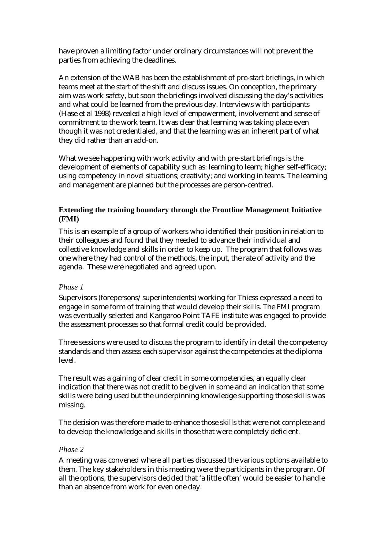have proven a limiting factor under ordinary circumstances will not prevent the parties from achieving the deadlines.

An extension of the WAB has been the establishment of pre-start briefings, in which teams meet at the start of the shift and discuss issues. On conception, the primary aim was work safety, but soon the briefings involved discussing the day's activities and what could be learned from the previous day. Interviews with participants (Hase et al 1998) revealed a high level of empowerment, involvement and sense of commitment to the work team. It was clear that learning was taking place even though it was not credentialed, and that the learning was an inherent part of what they did rather than an add-on.

What we see happening with work activity and with pre-start briefings is the development of elements of capability such as: learning to learn; higher self-efficacy; using competency in novel situations; creativity; and working in teams. The learning and management are planned but the processes are person-centred.

#### **Extending the training boundary through the Frontline Management Initiative (FMI)**

This is an example of a group of workers who identified their position in relation to their colleagues and found that they needed to advance their individual and collective knowledge and skills in order to keep up. The program that follows was one where they had control of the methods, the input, the rate of activity and the agenda. These were negotiated and agreed upon.

#### *Phase 1*

Supervisors (forepersons/superintendents) working for Thiess expressed a need to engage in some form of training that would develop their skills. The FMI program was eventually selected and Kangaroo Point TAFE institute was engaged to provide the assessment processes so that formal credit could be provided.

Three sessions were used to discuss the program to identify in detail the competency standards and then assess each supervisor against the competencies at the diploma level.

The result was a gaining of clear credit in some competencies, an equally clear indication that there was not credit to be given in some and an indication that some skills were being used but the underpinning knowledge supporting those skills was missing.

The decision was therefore made to enhance those skills that were not complete and to develop the knowledge and skills in those that were completely deficient.

#### *Phase 2*

A meeting was convened where all parties discussed the various options available to them. The key stakeholders in this meeting were the participants in the program. Of all the options, the supervisors decided that 'a little often' would be easier to handle than an absence from work for even one day.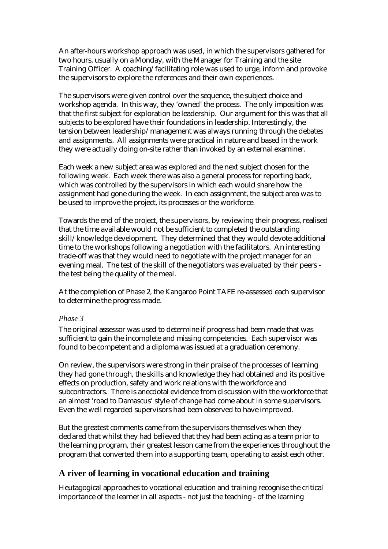An after-hours workshop approach was used, in which the supervisors gathered for two hours, usually on a Monday, with the Manager for Training and the site Training Officer. A coaching/facilitating role was used to urge, inform and provoke the supervisors to explore the references and their own experiences.

The supervisors were given control over the sequence, the subject choice and workshop agenda. In this way, they 'owned' the process. The only imposition was that the first subject for exploration be leadership. Our argument for this was that all subjects to be explored have their foundations in leadership. Interestingly, the tension between leadership/management was always running through the debates and assignments. All assignments were practical in nature and based in the work they were actually doing on-site rather than invoked by an external examiner.

Each week a new subject area was explored and the next subject chosen for the following week. Each week there was also a general process for reporting back, which was controlled by the supervisors in which each would share how the assignment had gone during the week. In each assignment, the subject area was to be used to improve the project, its processes or the workforce.

Towards the end of the project, the supervisors, by reviewing their progress, realised that the time available would not be sufficient to completed the outstanding skill/knowledge development. They determined that they would devote additional time to the workshops following a negotiation with the facilitators. An interesting trade-off was that they would need to negotiate with the project manager for an evening meal. The test of the skill of the negotiators was evaluated by their peers the test being the quality of the meal.

At the completion of Phase 2, the Kangaroo Point TAFE re-assessed each supervisor to determine the progress made.

#### *Phase 3*

The original assessor was used to determine if progress had been made that was sufficient to gain the incomplete and missing competencies. Each supervisor was found to be competent and a diploma was issued at a graduation ceremony.

On review, the supervisors were strong in their praise of the processes of learning they had gone through, the skills and knowledge they had obtained and its positive effects on production, safety and work relations with the workforce and subcontractors. There is anecdotal evidence from discussion with the workforce that an almost 'road to Damascus' style of change had come about in some supervisors. Even the well regarded supervisors had been observed to have improved.

But the greatest comments came from the supervisors themselves when they declared that whilst they had believed that they had been acting as a team prior to the learning program, their greatest lesson came from the experiences throughout the program that converted them into a supporting team, operating to assist each other.

# **A river of learning in vocational education and training**

Heutagogical approaches to vocational education and training recognise the critical importance of the learner in all aspects - not just the teaching - of the learning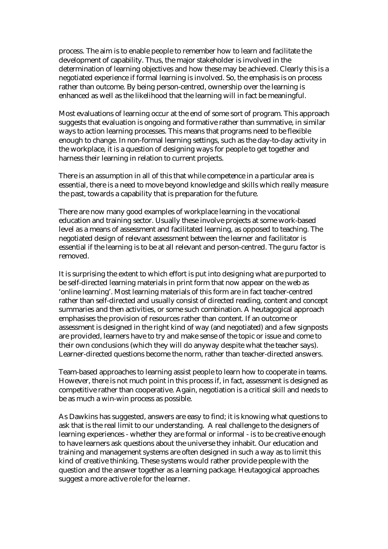process. The aim is to enable people to remember how to learn and facilitate the development of capability. Thus, the major stakeholder is involved in the determination of learning objectives and how these may be achieved. Clearly this is a negotiated experience if formal learning is involved. So, the emphasis is on process rather than outcome. By being person-centred, ownership over the learning is enhanced as well as the likelihood that the learning will in fact be meaningful.

Most evaluations of learning occur at the end of some sort of program. This approach suggests that evaluation is ongoing and formative rather than summative, in similar ways to action learning processes. This means that programs need to be flexible enough to change. In non-formal learning settings, such as the day-to-day activity in the workplace, it is a question of designing ways for people to get together and harness their learning in relation to current projects.

There is an assumption in all of this that while competence in a particular area is essential, there is a need to move beyond knowledge and skills which really measure the past, towards a capability that is preparation for the future.

There are now many good examples of workplace learning in the vocational education and training sector. Usually these involve projects at some work-based level as a means of assessment and facilitated learning, as opposed to teaching. The negotiated design of relevant assessment between the learner and facilitator is essential if the learning is to be at all relevant and person-centred. The guru factor is removed.

It is surprising the extent to which effort is put into designing what are purported to be self-directed learning materials in print form that now appear on the web as 'online learning'. Most learning materials of this form are in fact teacher-centred rather than self-directed and usually consist of directed reading, content and concept summaries and then activities, or some such combination. A heutagogical approach emphasises the provision of resources rather than content. If an outcome or assessment is designed in the right kind of way (and negotiated) and a few signposts are provided, learners have to try and make sense of the topic or issue and come to their own conclusions (which they will do anyway despite what the teacher says). Learner-directed questions become the norm, rather than teacher-directed answers.

Team-based approaches to learning assist people to learn how to cooperate in teams. However, there is not much point in this process if, in fact, assessment is designed as competitive rather than cooperative. Again, negotiation is a critical skill and needs to be as much a win-win process as possible.

As Dawkins has suggested, answers are easy to find; it is knowing what questions to ask that is the real limit to our understanding. A real challenge to the designers of learning experiences - whether they are formal or informal - is to be creative enough to have learners ask questions about the universe they inhabit. Our education and training and management systems are often designed in such a way as to limit this kind of creative thinking. These systems would rather provide people with the question and the answer together as a learning package. Heutagogical approaches suggest a more active role for the learner.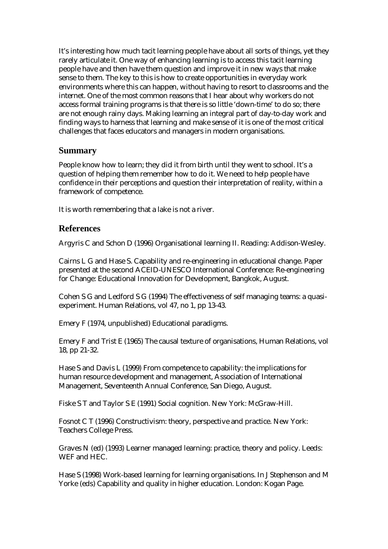It's interesting how much tacit learning people have about all sorts of things, yet they rarely articulate it. One way of enhancing learning is to access this tacit learning people have and then have them question and improve it in new ways that make sense to them. The key to this is how to create opportunities in everyday work environments where this can happen, without having to resort to classrooms and the internet. One of the most common reasons that I hear about why workers do not access formal training programs is that there is so little 'down-time' to do so; there are not enough rainy days. Making learning an integral part of day-to-day work and finding ways to harness that learning and make sense of it is one of the most critical challenges that faces educators and managers in modern organisations.

### **Summary**

People know how to learn; they did it from birth until they went to school. It's a question of helping them remember how to do it. We need to help people have confidence in their perceptions and question their interpretation of reality, within a framework of competence.

It is worth remembering that a lake is not a river.

# **References**

Argyris C and Schon D (1996) Organisational learning II. Reading: Addison-Wesley.

Cairns L G and Hase S. Capability and re-engineering in educational change. Paper presented at the second ACEID-UNESCO International Conference: Re-engineering for Change: Educational Innovation for Development, Bangkok, August.

Cohen S G and Ledford S G (1994) The effectiveness of self managing teams: a quasiexperiment. Human Relations, vol 47, no 1, pp 13-43.

Emery F (1974, unpublished) Educational paradigms.

Emery F and Trist E (1965) The causal texture of organisations, Human Relations, vol 18, pp 21-32.

Hase S and Davis L (1999) From competence to capability: the implications for human resource development and management, Association of International Management, Seventeenth Annual Conference, San Diego, August.

Fiske S T and Taylor S E (1991) Social cognition. New York: McGraw-Hill.

Fosnot C T (1996) Constructivism: theory, perspective and practice. New York: Teachers College Press.

Graves N (ed) (1993) Learner managed learning: practice, theory and policy. Leeds: WEF and HEC.

Hase S (1998) Work-based learning for learning organisations. In J Stephenson and M Yorke (eds) Capability and quality in higher education. London: Kogan Page.